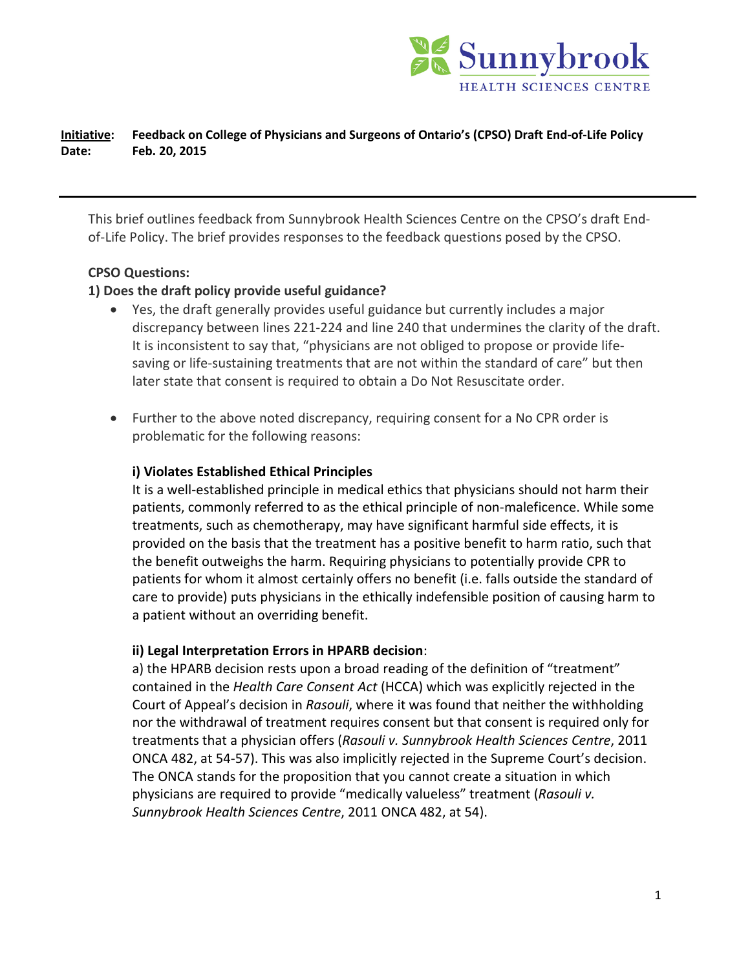

## **Initiative: Feedback on College of Physicians and Surgeons of Ontario's (CPSO) Draft End-of-Life Policy Date: Feb. 20, 2015**

This brief outlines feedback from Sunnybrook Health Sciences Centre on the CPSO's draft Endof-Life Policy. The brief provides responses to the feedback questions posed by the CPSO.

### **CPSO Questions:**

#### **1) Does the draft policy provide useful guidance?**

- Yes, the draft generally provides useful guidance but currently includes a major discrepancy between lines 221-224 and line 240 that undermines the clarity of the draft. It is inconsistent to say that, "physicians are not obliged to propose or provide lifesaving or life-sustaining treatments that are not within the standard of care" but then later state that consent is required to obtain a Do Not Resuscitate order.
- Further to the above noted discrepancy, requiring consent for a No CPR order is problematic for the following reasons:

#### **i) Violates Established Ethical Principles**

It is a well-established principle in medical ethics that physicians should not harm their patients, commonly referred to as the ethical principle of non-maleficence. While some treatments, such as chemotherapy, may have significant harmful side effects, it is provided on the basis that the treatment has a positive benefit to harm ratio, such that the benefit outweighs the harm. Requiring physicians to potentially provide CPR to patients for whom it almost certainly offers no benefit (i.e. falls outside the standard of care to provide) puts physicians in the ethically indefensible position of causing harm to a patient without an overriding benefit.

#### **ii) Legal Interpretation Errors in HPARB decision**:

a) the HPARB decision rests upon a broad reading of the definition of "treatment" contained in the *Health Care Consent Act* (HCCA) which was explicitly rejected in the Court of Appeal's decision in *Rasouli*, where it was found that neither the withholding nor the withdrawal of treatment requires consent but that consent is required only for treatments that a physician offers (*Rasouli v. Sunnybrook Health Sciences Centre*, 2011 ONCA 482, at 54-57). This was also implicitly rejected in the Supreme Court's decision. The ONCA stands for the proposition that you cannot create a situation in which physicians are required to provide "medically valueless" treatment (*Rasouli v. Sunnybrook Health Sciences Centre*, 2011 ONCA 482, at 54).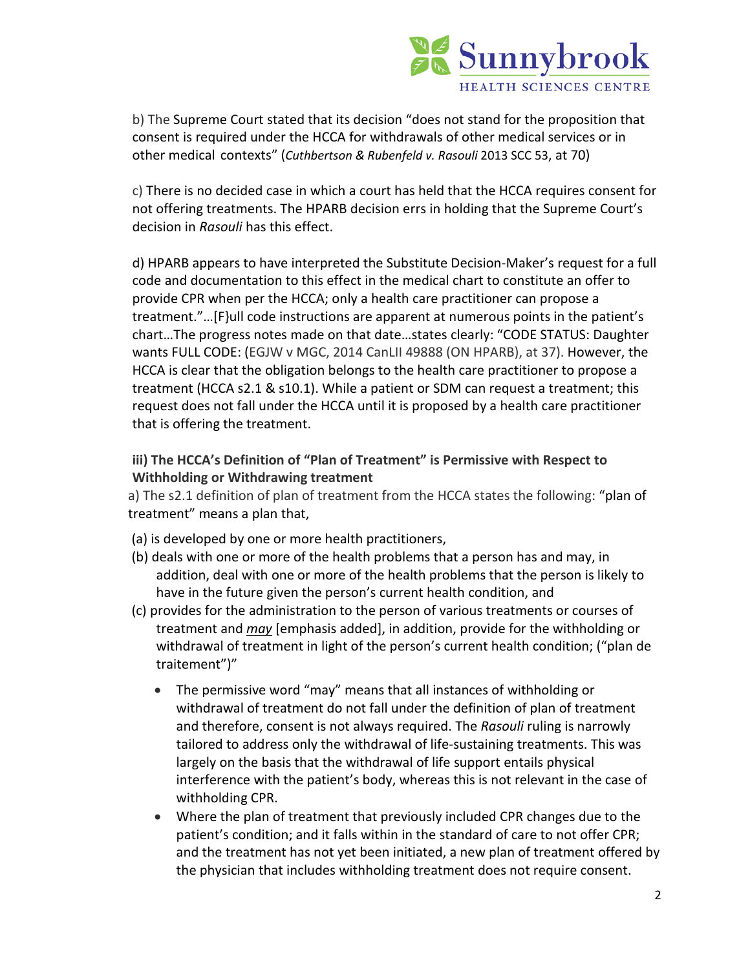

b) The Supreme Court stated that its decision "does not stand for the proposition that consent is required under the HCCA for withdrawals of other medical services or in other medical contexts" (*Cuthbertson & Rubenfeld v. Rasouli* 2013 SCC 53, at 70)

c) There is no decided case in which a court has held that the HCCA requires consent for not offering treatments. The HPARB decision errs in holding that the Supreme Court's decision in *Rasouli* has this effect.

d) HPARB appears to have interpreted the Substitute Decision-Maker's request for a full code and documentation to this effect in the medical chart to constitute an offer to provide CPR when per the HCCA; only a health care practitioner can propose a treatment."…[F}ull code instructions are apparent at numerous points in the patient's chart…The progress notes made on that date…states clearly: "CODE STATUS: Daughter wants FULL CODE: (EGJW v MGC, 2014 CanLII 49888 (ON HPARB), at 37). However, the HCCA is clear that the obligation belongs to the health care practitioner to propose a treatment (HCCA s2.1 & s10.1). While a patient or SDM can request a treatment; this request does not fall under the HCCA until it is proposed by a health care practitioner that is offering the treatment.

# **iii) The HCCA's Definition of "Plan of Treatment" is Permissive with Respect to Withholding or Withdrawing treatment**

a) The s2.1 definition of plan of treatment from the HCCA states the following: "plan of treatment" means a plan that,

- (a) is developed by one or more health practitioners,
- (b) deals with one or more of the health problems that a person has and may, in addition, deal with one or more of the health problems that the person is likely to have in the future given the person's current health condition, and
- (c) provides for the administration to the person of various treatments or courses of treatment and *may* [emphasis added], in addition, provide for the withholding or withdrawal of treatment in light of the person's current health condition; ("plan de traitement")"
	- The permissive word "may" means that all instances of withholding or withdrawal of treatment do not fall under the definition of plan of treatment and therefore, consent is not always required. The *Rasouli* ruling is narrowly tailored to address only the withdrawal of life-sustaining treatments. This was largely on the basis that the withdrawal of life support entails physical interference with the patient's body, whereas this is not relevant in the case of withholding CPR.
	- Where the plan of treatment that previously included CPR changes due to the patient's condition; and it falls within in the standard of care to not offer CPR; and the treatment has not yet been initiated, a new plan of treatment offered by the physician that includes withholding treatment does not require consent.